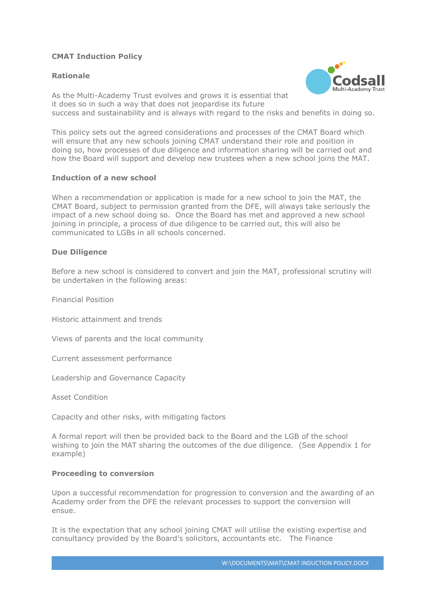## **CMAT Induction Policy**

### **Rationale**



As the Multi-Academy Trust evolves and grows it is essential that it does so in such a way that does not jeopardise its future success and sustainability and is always with regard to the risks and benefits in doing so.

This policy sets out the agreed considerations and processes of the CMAT Board which will ensure that any new schools joining CMAT understand their role and position in doing so, how processes of due diligence and information sharing will be carried out and how the Board will support and develop new trustees when a new school joins the MAT.

### **Induction of a new school**

When a recommendation or application is made for a new school to join the MAT, the CMAT Board, subject to permission granted from the DFE, will always take seriously the impact of a new school doing so. Once the Board has met and approved a new school joining in principle, a process of due diligence to be carried out, this will also be communicated to LGBs in all schools concerned.

#### **Due Diligence**

Before a new school is considered to convert and join the MAT, professional scrutiny will be undertaken in the following areas:

Financial Position

Historic attainment and trends

Views of parents and the local community

Current assessment performance

Leadership and Governance Capacity

Asset Condition

Capacity and other risks, with mitigating factors

A formal report will then be provided back to the Board and the LGB of the school wishing to join the MAT sharing the outcomes of the due diligence. (See Appendix 1 for example)

#### **Proceeding to conversion**

Upon a successful recommendation for progression to conversion and the awarding of an Academy order from the DFE the relevant processes to support the conversion will ensue.

It is the expectation that any school joining CMAT will utilise the existing expertise and consultancy provided by the Board's solicitors, accountants etc. The Finance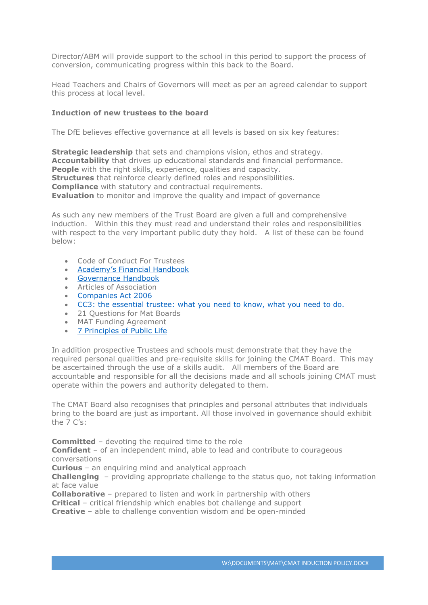Director/ABM will provide support to the school in this period to support the process of conversion, communicating progress within this back to the Board.

Head Teachers and Chairs of Governors will meet as per an agreed calendar to support this process at local level.

#### **Induction of new trustees to the board**

The DfE believes effective governance at all levels is based on six key features:

**Strategic leadership** that sets and champions vision, ethos and strategy. **Accountability** that drives up educational standards and financial performance. **People** with the right skills, experience, qualities and capacity. **Structures** that reinforce clearly defined roles and responsibilities. **Compliance** with statutory and contractual requirements. **Evaluation** to monitor and improve the quality and impact of governance

As such any new members of the Trust Board are given a full and comprehensive induction. Within this they must read and understand their roles and responsibilities with respect to the very important public duty they hold. A list of these can be found below:

- Code of Conduct For Trustees
- Academy's [Financial Handbook](https://www.gov.uk/government/uploads/system/uploads/attachment_data/file/535870/Academies_Financial_Handbook_2016_final.pdf)
- [Governance Handbook](https://www.gov.uk/government/uploads/system/uploads/attachment_data/file/582868/Governance_Handbook_-_January_2017.pdf)
- Articles of Association
- [Companies Act 2006](http://www.legislation.gov.uk/ukpga/2006/46/contents)
- [CC3: the essential trustee: what you need to know, what you need to do.](https://www.gov.uk/government/publications/the-essential-trustee-what-you-need-to-know-cc3/the-essential-trustee-what-you-need-to-know-what-you-need-to-do)
- 21 Questions for Mat Boards
- MAT Funding Agreement
- [7 Principles of Public Life](https://www.gov.uk/government/publications/the-7-principles-of-public-life/the-7-principles-of-public-life--2)

In addition prospective Trustees and schools must demonstrate that they have the required personal qualities and pre-requisite skills for joining the CMAT Board. This may be ascertained through the use of a skills audit. All members of the Board are accountable and responsible for all the decisions made and all schools joining CMAT must operate within the powers and authority delegated to them.

The CMAT Board also recognises that principles and personal attributes that individuals bring to the board are just as important. All those involved in governance should exhibit the  $7 C's'$ 

**Committed** – devoting the required time to the role

**Confident** – of an independent mind, able to lead and contribute to courageous conversations

**Curious** – an enquiring mind and analytical approach

**Challenging** – providing appropriate challenge to the status quo, not taking information at face value

**Collaborative** – prepared to listen and work in partnership with others

**Critical** – critical friendship which enables bot challenge and support

**Creative** – able to challenge convention wisdom and be open-minded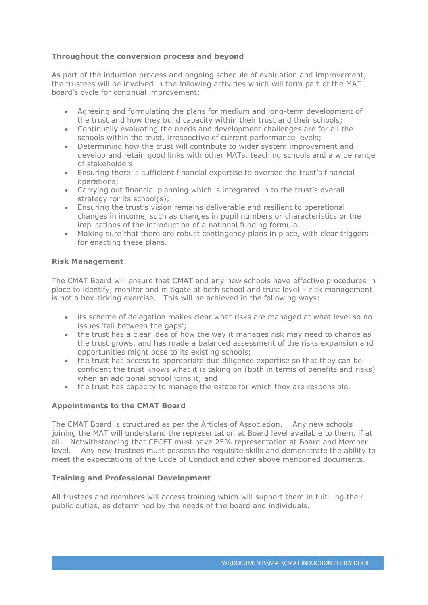## **Throughout the conversion process and beyond**

As part of the induction process and ongoing schedule of evaluation and improvement, the trustees will be involved in the following activities which will form part of the MAT board's cycle for continual improvement:

- Agreeing and formulating the plans for medium and long-term development of the trust and how they build capacity within their trust and their schools;
- Continually evaluating the needs and development challenges are for all the schools within the trust, irrespective of current performance levels;
- Determining how the trust will contribute to wider system improvement and develop and retain good links with other MATs, teaching schools and a wide range of stakeholders
- Ensuring there is sufficient financial expertise to oversee the trust's financial operations;
- Carrying out financial planning which is integrated in to the trust's overall strategy for its school(s);
- Ensuring the trust's vision remains deliverable and resilient to operational changes in income, such as changes in pupil numbers or characteristics or the implications of the introduction of a national funding formula.
- Making sure that there are robust contingency plans in place, with clear triggers for enacting these plans.

### **Risk Management**

The CMAT Board will ensure that CMAT and any new schools have effective procedures in place to identify, monitor and mitigate at both school and trust level – risk management is not a box-ticking exercise. This will be achieved in the following ways:

- its scheme of delegation makes clear what risks are managed at what level so no issues 'fall between the gaps';
- the trust has a clear idea of how the way it manages risk may need to change as the trust grows, and has made a balanced assessment of the risks expansion and opportunities might pose to its existing schools;
- the trust has access to appropriate due diligence expertise so that they can be confident the trust knows what it is taking on (both in terms of benefits and risks) when an additional school joins it; and
- the trust has capacity to manage the estate for which they are responsible.

## **Appointments to the CMAT Board**

The CMAT Board is structured as per the Articles of Association. Any new schools joining the MAT will understand the representation at Board level available to them, if at all. Notwithstanding that CECET must have 25% representation at Board and Member level. Any new trustees must possess the requisite skills and demonstrate the ability to meet the expectations of the Code of Conduct and other above mentioned documents.

#### **Training and Professional Development**

All trustees and members will access training which will support them in fulfilling their public duties, as determined by the needs of the board and individuals.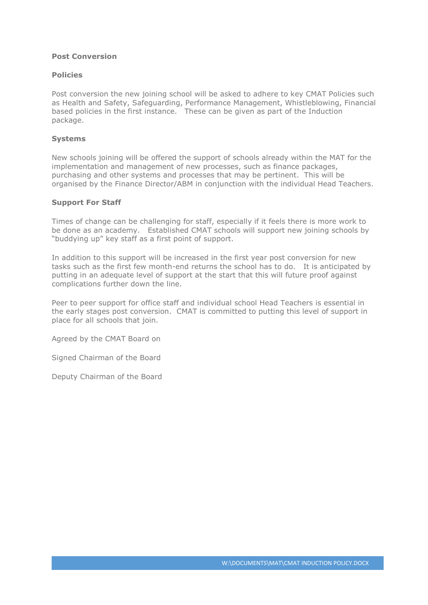### **Post Conversion**

#### **Policies**

Post conversion the new joining school will be asked to adhere to key CMAT Policies such as Health and Safety, Safeguarding, Performance Management, Whistleblowing, Financial based policies in the first instance. These can be given as part of the Induction package.

#### **Systems**

New schools joining will be offered the support of schools already within the MAT for the implementation and management of new processes, such as finance packages, purchasing and other systems and processes that may be pertinent. This will be organised by the Finance Director/ABM in conjunction with the individual Head Teachers.

#### **Support For Staff**

Times of change can be challenging for staff, especially if it feels there is more work to be done as an academy. Established CMAT schools will support new joining schools by "buddying up" key staff as a first point of support.

In addition to this support will be increased in the first year post conversion for new tasks such as the first few month-end returns the school has to do. It is anticipated by putting in an adequate level of support at the start that this will future proof against complications further down the line.

Peer to peer support for office staff and individual school Head Teachers is essential in the early stages post conversion. CMAT is committed to putting this level of support in place for all schools that join.

Agreed by the CMAT Board on

Signed Chairman of the Board

Deputy Chairman of the Board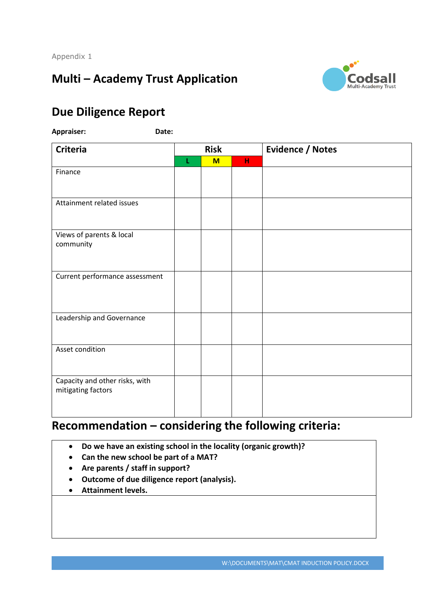# **Multi – Academy Trust Application**



## **Due Diligence Report**

**Appraiser: Date:** 

| <b>Criteria</b>                                      | <b>Risk</b> |     |   | <b>Evidence / Notes</b> |
|------------------------------------------------------|-------------|-----|---|-------------------------|
|                                                      | L           | $M$ | н |                         |
| Finance                                              |             |     |   |                         |
| Attainment related issues                            |             |     |   |                         |
| Views of parents & local<br>community                |             |     |   |                         |
| Current performance assessment                       |             |     |   |                         |
| Leadership and Governance                            |             |     |   |                         |
| Asset condition                                      |             |     |   |                         |
| Capacity and other risks, with<br>mitigating factors |             |     |   |                         |

## **Recommendation – considering the following criteria:**

- **Do we have an existing school in the locality (organic growth)?**
- **Can the new school be part of a MAT?**
- **Are parents / staff in support?**
- **Outcome of due diligence report (analysis).**
- **Attainment levels.**